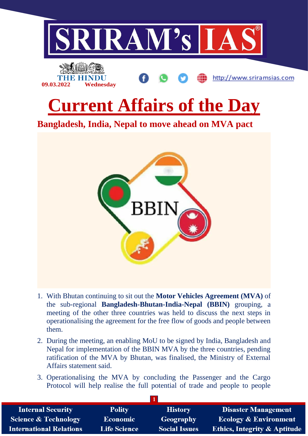

- 1. With Bhutan continuing to sit out the **Motor Vehicles Agreement (MVA)** of the sub-regional **Bangladesh-Bhutan-India-Nepal (BBIN)** grouping, a meeting of the other three countries was held to discuss the next steps in operationalising the agreement for the free flow of goods and people between them.
- 2. During the meeting, an enabling MoU to be signed by India, Bangladesh and Nepal for implementation of the BBIN MVA by the three countries, pending ratification of the MVA by Bhutan, was finalised, the Ministry of External Affairs statement said.
- 3. Operationalising the MVA by concluding the Passenger and the Cargo Protocol will help realise the full potential of trade and people to people

| <b>Internal Security</b>        | <b>Polity</b>       | <b>History</b>       | <b>Disaster Management</b>              |  |  |
|---------------------------------|---------------------|----------------------|-----------------------------------------|--|--|
| <b>Science &amp; Technology</b> | Economic            | <b>Geography</b>     | <b>Ecology &amp; Environment</b>        |  |  |
| <b>International Relations</b>  | <b>Life Science</b> | <b>Social Issues</b> | <b>Ethics, Integrity &amp; Aptitude</b> |  |  |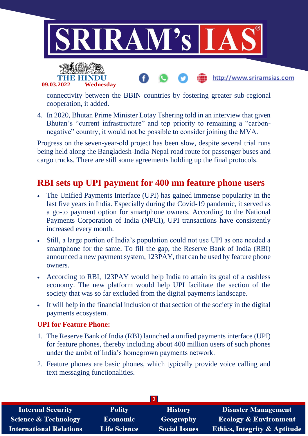



connectivity between the BBIN countries by fostering greater sub-regional cooperation, it added.

http://www.sriramsias.com

4. In 2020, Bhutan Prime Minister Lotay Tshering told in an interview that given Bhutan's "current infrastructure" and top priority to remaining a "carbonnegative" country, it would not be possible to consider joining the MVA.

Progress on the seven-year-old project has been slow, despite several trial runs being held along the Bangladesh-India-Nepal road route for passenger buses and cargo trucks. There are still some agreements holding up the final protocols.

## **RBI sets up UPI payment for 400 mn feature phone users**

- The Unified Payments Interface (UPI) has gained immense popularity in the last five years in India. Especially during the Covid-19 pandemic, it served as a go-to payment option for smartphone owners. According to the National Payments Corporation of India (NPCI), UPI transactions have consistently increased every month.
- Still, a large portion of India's population could not use UPI as one needed a smartphone for the same. To fill the gap, the Reserve Bank of India (RBI) announced a new payment system, 123PAY, that can be used by feature phone owners.
- According to RBI, 123PAY would help India to attain its goal of a cashless economy. The new platform would help UPI facilitate the section of the society that was so far excluded from the digital payments landscape.
- It will help in the financial inclusion of that section of the society in the digital payments ecosystem.

### **UPI for Feature Phone:**

- 1. The Reserve Bank of India (RBI) launched a unified payments interface (UPI) for feature phones, thereby including about 400 million users of such phones under the ambit of India's homegrown payments network.
- 2. Feature phones are basic phones, which typically provide voice calling and text messaging functionalities.

| <b>Internal Security</b>        | <b>Polity</b>       | <b>History</b>       | <b>Disaster Management</b>              |  |  |
|---------------------------------|---------------------|----------------------|-----------------------------------------|--|--|
| <b>Science &amp; Technology</b> | <b>Economic</b>     | Geography            | <b>Ecology &amp; Environment</b>        |  |  |
| <b>International Relations</b>  | <b>Life Science</b> | <b>Social Issues</b> | <b>Ethics, Integrity &amp; Aptitude</b> |  |  |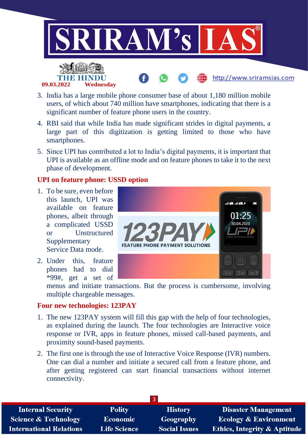

- 3. India has a large mobile phone consumer base of about 1,180 million mobile users, of which about 740 million have smartphones, indicating that there is a significant number of feature phone users in the country.
- 4. RBI said that while India has made significant strides in digital payments, a large part of this digitization is getting limited to those who have smartphones.
- 5. Since UPI has contributed a lot to India's digital payments, it is important that UPI is available as an offline mode and on feature phones to take it to the next phase of development.

#### **UPI on feature phone: USSD option**

1. To be sure, even before this launch, UPI was available on feature phones, albeit through a complicated USSD or Unstructured **Supplementary** Service Data mode.

**09.03.2022 Wednesday**

2. Under this, feature phones had to dial \*99#, get a set of



http://www.sriramsias.com

menus and initiate transactions. But the process is cumbersome, involving multiple chargeable messages.

#### **Four new technologies: 123PAY**

- 1. The new 123PAY system will fill this gap with the help of four technologies, as explained during the launch. The four technologies are Interactive voice response or IVR, apps in feature phones, missed call-based payments, and proximity sound-based payments.
- 2. The first one is through the use of Interactive Voice Response (IVR) numbers. One can dial a number and initiate a secured call from a feature phone, and after getting registered can start financial transactions without internet connectivity.

| <b>Internal Security</b>        | <b>Polity</b>       | <b>History</b>       | <b>Disaster Management</b>              |
|---------------------------------|---------------------|----------------------|-----------------------------------------|
| <b>Science &amp; Technology</b> | <b>Economic</b>     | Geography            | <b>Ecology &amp; Environment</b>        |
| <b>International Relations</b>  | <b>Life Science</b> | <b>Social Issues</b> | <b>Ethics, Integrity &amp; Aptitude</b> |